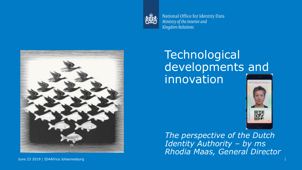

National Office for Identity Data Ministry of the Interior and **Kingdom Relations** 



### **Technological** developments and innovation VIRTUELEISFESSE



*The perspective of the Dutch Identity Authority – by ms Rhodia Maas, General Director*

June 23 2019 | ID4Africa Johannesburg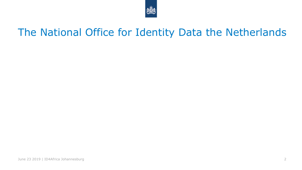

## The National Office for Identity Data the Netherlands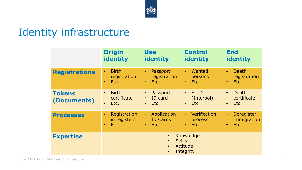

## Identity infrastructure

|                              | <b>Origin</b>                                                                                           | <b>Use</b>                                                         | <b>Control</b>                                                    | <b>End</b>                                                    |
|------------------------------|---------------------------------------------------------------------------------------------------------|--------------------------------------------------------------------|-------------------------------------------------------------------|---------------------------------------------------------------|
|                              | <b>identity</b>                                                                                         | identity                                                           | identity                                                          | identity                                                      |
| <b>Registrations</b>         | <b>Birth</b>                                                                                            | Passport                                                           | Wanted                                                            | <b>Death</b>                                                  |
|                              | $\bullet$                                                                                               | $\bullet$                                                          | $\bullet$                                                         | $\bullet$                                                     |
|                              | registration                                                                                            | registration                                                       | persons                                                           | registration                                                  |
|                              | Etc.                                                                                                    | Etc                                                                | Etc.                                                              | Etc.                                                          |
|                              | $\bullet$                                                                                               | $\bullet$                                                          | $\bullet$                                                         | $\bullet$                                                     |
| <b>Tokens</b><br>(Documents) | <b>Birth</b><br>$\bullet$<br>certificate<br>Etc.                                                        | Passport<br>$\bullet$<br>ID card<br>$\bullet$<br>Etc.<br>$\bullet$ | <b>SLTD</b><br>$\bullet$<br>(Interpol)<br><b>Etc</b><br>$\bullet$ | <b>Death</b><br>$\bullet$<br>certificate<br>Etc.<br>$\bullet$ |
| <b>Processes</b>             | Registration                                                                                            | Application                                                        | Verification                                                      | Deregister                                                    |
|                              | $\bullet$                                                                                               | $\bullet$                                                          | $\bullet$                                                         | $\bullet$                                                     |
|                              | in registers                                                                                            | <b>ID Cards</b>                                                    | process                                                           | immigration                                                   |
|                              | Etc.                                                                                                    | Etc.                                                               | Etc.                                                              | <b>Etc</b>                                                    |
|                              | $\bullet$                                                                                               | $\bullet$                                                          | $\bullet$                                                         | $\bullet$                                                     |
| <b>Expertise</b>             | Knowledge<br>$\bullet$<br><b>Skills</b><br>$\bullet$<br>Attitude<br>$\bullet$<br>Integrity<br>$\bullet$ |                                                                    |                                                                   |                                                               |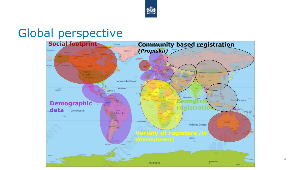

## Global perspective

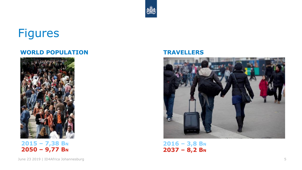## Figures

#### **WORLD POPULATION TRAVELLERS**







**2016 – 3,8 B<sup>N</sup> 2037 – 8,2 B<sup>N</sup>**

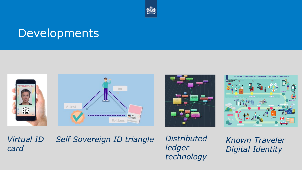

## Developments









*Virtual ID card*

# **Self Sovereign ID triangle Distributed Known Traveler**

June 23 2019 | ID4Africa Johannesburg 6 *technologyDistributed ledger* 

*Digital Identity*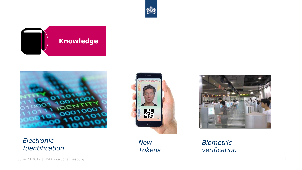**VIRTUELE** (SPASS)

驟

*New* 

*Tokens*



**Knowledge**

*Electronic Identification*

*Biometric verification*

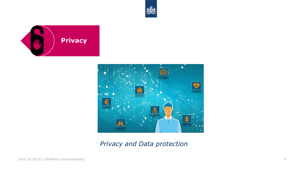





*Privacy and Data protection*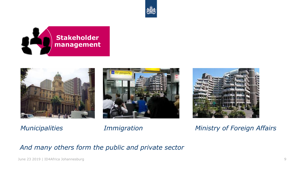









*Municipalities Immigration Ministry of Foreign Affairs*

*And many others form the public and private sector*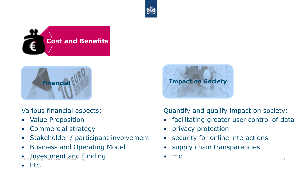





Various financial aspects:

- Value Proposition
- Commercial strategy
- Stakeholder / participant involvement
- Business and Operating Model
- Investment and funding Etc. Investment and funding Etc.



Quantify and qualify impact on society:

- facilitating greater user control of data
- privacy protection
- security for online interactions
- supply chain transparencies
- Etc.

• Etc.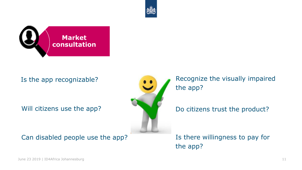



Is the app recognizable?

Will citizens use the app?

Can disabled people use the app?



Recognize the visually impaired the app?

Do citizens trust the product?

Is there willingness to pay for the app?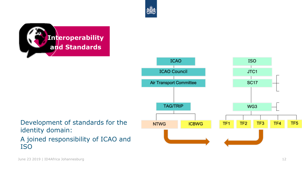



Development of standards for the identity domain: A joined responsibility of ICAO and ISO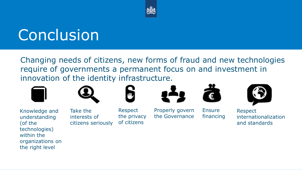

# **Conclusion**

Changing needs of citizens, new forms of fraud and new technologies require of governments a permanent focus on and investment in innovation of the identity infrastructure.





Knowledge and understanding (of the technologies) within the organizations on the right level

Take the interests of citizens seriously



Respect the privacy of citizens



Properly govern the Governance



Ensure financing



Respect internationalization and standards